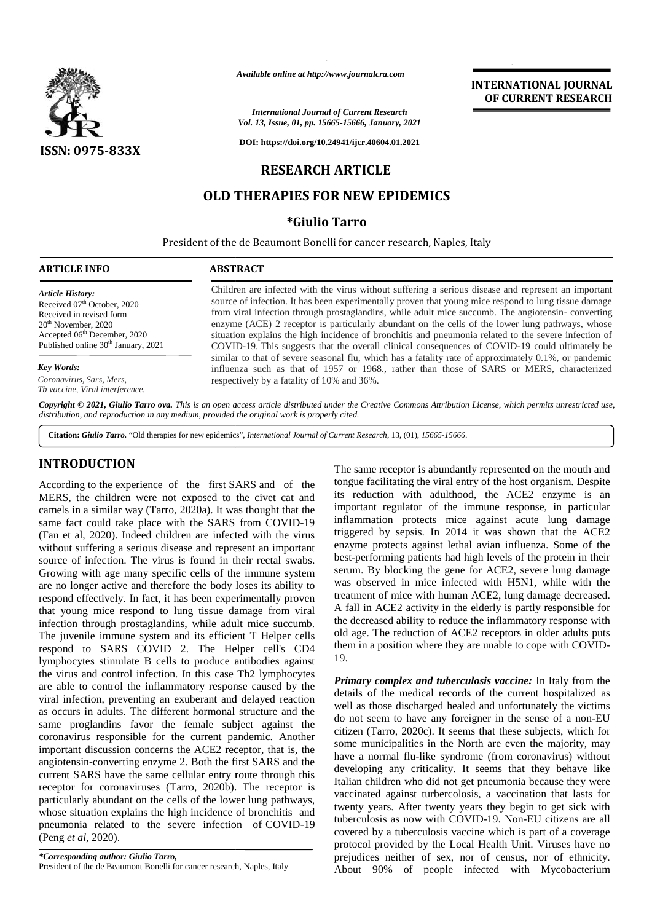

*Available online at http://www.journalcra.com*

# **RESEARCH ARTICLE**

## **OLD THERAPIES FOR NEW EPIDEMICS**

#### **\*Giulio Tarro**

|                                                                                                                                                                                                                                                                                                                                                                                                                                                                                                                                                                                                                                                                                                                                                                                                                                                                                                                                                                                                                                                                                                        | Available online at http://www.journalcra.com                                                                                                                                                                                                                                                                                                                                                                                                                                                                                                                                                                                                                                                                                                                                                                                                                                    |                                                                                                        | <b>INTERNATIONAL JOURNAL</b><br>OF CURRENT RESEARCH                                                                                                                                                                                                                                                                                                                                                                                                                                                                                                                                                                                                                                                                                                                                                                                                                                                                                                                   |
|--------------------------------------------------------------------------------------------------------------------------------------------------------------------------------------------------------------------------------------------------------------------------------------------------------------------------------------------------------------------------------------------------------------------------------------------------------------------------------------------------------------------------------------------------------------------------------------------------------------------------------------------------------------------------------------------------------------------------------------------------------------------------------------------------------------------------------------------------------------------------------------------------------------------------------------------------------------------------------------------------------------------------------------------------------------------------------------------------------|----------------------------------------------------------------------------------------------------------------------------------------------------------------------------------------------------------------------------------------------------------------------------------------------------------------------------------------------------------------------------------------------------------------------------------------------------------------------------------------------------------------------------------------------------------------------------------------------------------------------------------------------------------------------------------------------------------------------------------------------------------------------------------------------------------------------------------------------------------------------------------|--------------------------------------------------------------------------------------------------------|-----------------------------------------------------------------------------------------------------------------------------------------------------------------------------------------------------------------------------------------------------------------------------------------------------------------------------------------------------------------------------------------------------------------------------------------------------------------------------------------------------------------------------------------------------------------------------------------------------------------------------------------------------------------------------------------------------------------------------------------------------------------------------------------------------------------------------------------------------------------------------------------------------------------------------------------------------------------------|
|                                                                                                                                                                                                                                                                                                                                                                                                                                                                                                                                                                                                                                                                                                                                                                                                                                                                                                                                                                                                                                                                                                        |                                                                                                                                                                                                                                                                                                                                                                                                                                                                                                                                                                                                                                                                                                                                                                                                                                                                                  | <b>International Journal of Current Research</b><br>Vol. 13, Issue, 01, pp. 15665-15666, January, 2021 |                                                                                                                                                                                                                                                                                                                                                                                                                                                                                                                                                                                                                                                                                                                                                                                                                                                                                                                                                                       |
| ISSN: 0975-833X                                                                                                                                                                                                                                                                                                                                                                                                                                                                                                                                                                                                                                                                                                                                                                                                                                                                                                                                                                                                                                                                                        |                                                                                                                                                                                                                                                                                                                                                                                                                                                                                                                                                                                                                                                                                                                                                                                                                                                                                  | DOI: https://doi.org/10.24941/ijcr.40604.01.2021                                                       |                                                                                                                                                                                                                                                                                                                                                                                                                                                                                                                                                                                                                                                                                                                                                                                                                                                                                                                                                                       |
|                                                                                                                                                                                                                                                                                                                                                                                                                                                                                                                                                                                                                                                                                                                                                                                                                                                                                                                                                                                                                                                                                                        |                                                                                                                                                                                                                                                                                                                                                                                                                                                                                                                                                                                                                                                                                                                                                                                                                                                                                  | <b>RESEARCH ARTICLE</b>                                                                                |                                                                                                                                                                                                                                                                                                                                                                                                                                                                                                                                                                                                                                                                                                                                                                                                                                                                                                                                                                       |
|                                                                                                                                                                                                                                                                                                                                                                                                                                                                                                                                                                                                                                                                                                                                                                                                                                                                                                                                                                                                                                                                                                        |                                                                                                                                                                                                                                                                                                                                                                                                                                                                                                                                                                                                                                                                                                                                                                                                                                                                                  | <b>OLD THERAPIES FOR NEW EPIDEMICS</b>                                                                 |                                                                                                                                                                                                                                                                                                                                                                                                                                                                                                                                                                                                                                                                                                                                                                                                                                                                                                                                                                       |
|                                                                                                                                                                                                                                                                                                                                                                                                                                                                                                                                                                                                                                                                                                                                                                                                                                                                                                                                                                                                                                                                                                        |                                                                                                                                                                                                                                                                                                                                                                                                                                                                                                                                                                                                                                                                                                                                                                                                                                                                                  | <i><b>*Giulio Tarro</b></i>                                                                            |                                                                                                                                                                                                                                                                                                                                                                                                                                                                                                                                                                                                                                                                                                                                                                                                                                                                                                                                                                       |
|                                                                                                                                                                                                                                                                                                                                                                                                                                                                                                                                                                                                                                                                                                                                                                                                                                                                                                                                                                                                                                                                                                        | President of the de Beaumont Bonelli for cancer research, Naples, Italy                                                                                                                                                                                                                                                                                                                                                                                                                                                                                                                                                                                                                                                                                                                                                                                                          |                                                                                                        |                                                                                                                                                                                                                                                                                                                                                                                                                                                                                                                                                                                                                                                                                                                                                                                                                                                                                                                                                                       |
| <b>ARTICLE INFO</b>                                                                                                                                                                                                                                                                                                                                                                                                                                                                                                                                                                                                                                                                                                                                                                                                                                                                                                                                                                                                                                                                                    | <b>ABSTRACT</b>                                                                                                                                                                                                                                                                                                                                                                                                                                                                                                                                                                                                                                                                                                                                                                                                                                                                  |                                                                                                        |                                                                                                                                                                                                                                                                                                                                                                                                                                                                                                                                                                                                                                                                                                                                                                                                                                                                                                                                                                       |
| <b>Article History:</b><br>Received 07 <sup>th</sup> October, 2020<br>Received in revised form<br>20 <sup>th</sup> November, 2020<br>Accepted 06 <sup>th</sup> December, 2020<br>Published online 30 <sup>th</sup> January, 2021                                                                                                                                                                                                                                                                                                                                                                                                                                                                                                                                                                                                                                                                                                                                                                                                                                                                       | Children are infected with the virus without suffering a serious disease and represent an important<br>source of infection. It has been experimentally proven that young mice respond to lung tissue damage<br>from viral infection through prostaglandins, while adult mice succumb. The angiotensin-converting<br>enzyme (ACE) 2 receptor is particularly abundant on the cells of the lower lung pathways, whose<br>situation explains the high incidence of bronchitis and pneumonia related to the severe infection of<br>COVID-19. This suggests that the overall clinical consequences of COVID-19 could ultimately be<br>similar to that of severe seasonal flu, which has a fatality rate of approximately 0.1%, or pandemic<br>influenza such as that of 1957 or 1968., rather than those of SARS or MERS, characterized<br>respectively by a fatality of 10% and 36%. |                                                                                                        |                                                                                                                                                                                                                                                                                                                                                                                                                                                                                                                                                                                                                                                                                                                                                                                                                                                                                                                                                                       |
| Key Words:                                                                                                                                                                                                                                                                                                                                                                                                                                                                                                                                                                                                                                                                                                                                                                                                                                                                                                                                                                                                                                                                                             |                                                                                                                                                                                                                                                                                                                                                                                                                                                                                                                                                                                                                                                                                                                                                                                                                                                                                  |                                                                                                        |                                                                                                                                                                                                                                                                                                                                                                                                                                                                                                                                                                                                                                                                                                                                                                                                                                                                                                                                                                       |
| Coronavirus, Sars, Mers,<br>Th vaccine. Viral interference.                                                                                                                                                                                                                                                                                                                                                                                                                                                                                                                                                                                                                                                                                                                                                                                                                                                                                                                                                                                                                                            |                                                                                                                                                                                                                                                                                                                                                                                                                                                                                                                                                                                                                                                                                                                                                                                                                                                                                  |                                                                                                        |                                                                                                                                                                                                                                                                                                                                                                                                                                                                                                                                                                                                                                                                                                                                                                                                                                                                                                                                                                       |
| distribution, and reproduction in any medium, provided the original work is properly cited.                                                                                                                                                                                                                                                                                                                                                                                                                                                                                                                                                                                                                                                                                                                                                                                                                                                                                                                                                                                                            |                                                                                                                                                                                                                                                                                                                                                                                                                                                                                                                                                                                                                                                                                                                                                                                                                                                                                  |                                                                                                        | Copyright © 2021, Giulio Tarro ova. This is an open access article distributed under the Creative Commons Attribution License, which permits unrestricted use,                                                                                                                                                                                                                                                                                                                                                                                                                                                                                                                                                                                                                                                                                                                                                                                                        |
| Citation: Giulio Tarro. "Old therapies for new epidemics", International Journal of Current Research, 13, (01), 15665-15666.                                                                                                                                                                                                                                                                                                                                                                                                                                                                                                                                                                                                                                                                                                                                                                                                                                                                                                                                                                           |                                                                                                                                                                                                                                                                                                                                                                                                                                                                                                                                                                                                                                                                                                                                                                                                                                                                                  |                                                                                                        |                                                                                                                                                                                                                                                                                                                                                                                                                                                                                                                                                                                                                                                                                                                                                                                                                                                                                                                                                                       |
| <b>INTRODUCTION</b>                                                                                                                                                                                                                                                                                                                                                                                                                                                                                                                                                                                                                                                                                                                                                                                                                                                                                                                                                                                                                                                                                    |                                                                                                                                                                                                                                                                                                                                                                                                                                                                                                                                                                                                                                                                                                                                                                                                                                                                                  |                                                                                                        | The same receptor is abundantly represented on the mouth and                                                                                                                                                                                                                                                                                                                                                                                                                                                                                                                                                                                                                                                                                                                                                                                                                                                                                                          |
| According to the experience of the first SARS and of the<br>MERS, the children were not exposed to the civet cat and<br>camels in a similar way (Tarro, 2020a). It was thought that the<br>same fact could take place with the SARS from COVID-19<br>(Fan et al, 2020). Indeed children are infected with the virus<br>without suffering a serious disease and represent an important<br>source of infection. The virus is found in their rectal swabs.<br>Growing with age many specific cells of the immune system<br>are no longer active and therefore the body loses its ability to<br>respond effectively. In fact, it has been experimentally proven<br>that young mice respond to lung tissue damage from viral<br>infection through prostaglandins, while adult mice succumb.<br>The juvenile immune system and its efficient T Helper cells<br>respond to SARS COVID 2. The Helper cell's CD4<br>lymphocytes stimulate B cells to produce antibodies against<br>the virus and control infection. In this case Th2 lymphocytes<br>are able to control the inflammatory response caused by the |                                                                                                                                                                                                                                                                                                                                                                                                                                                                                                                                                                                                                                                                                                                                                                                                                                                                                  | 19.                                                                                                    | tongue facilitating the viral entry of the host organism. Despite<br>its reduction with adulthood, the ACE2 enzyme is an<br>important regulator of the immune response, in particular<br>inflammation protects mice against acute lung damage<br>triggered by sepsis. In 2014 it was shown that the ACE2<br>enzyme protects against lethal avian influenza. Some of the<br>best-performing patients had high levels of the protein in their<br>serum. By blocking the gene for ACE2, severe lung damage<br>was observed in mice infected with H5N1, while with the<br>treatment of mice with human ACE2, lung damage decreased.<br>A fall in ACE2 activity in the elderly is partly responsible for<br>the decreased ability to reduce the inflammatory response with<br>old age. The reduction of ACE2 receptors in older adults puts<br>them in a position where they are unable to cope with COVID-<br>Primary complex and tuberculosis vaccine: In Italy from the |
| viral infection, preventing an exuberant and delayed reaction<br>as occurs in adults. The different hormonal structure and the                                                                                                                                                                                                                                                                                                                                                                                                                                                                                                                                                                                                                                                                                                                                                                                                                                                                                                                                                                         |                                                                                                                                                                                                                                                                                                                                                                                                                                                                                                                                                                                                                                                                                                                                                                                                                                                                                  |                                                                                                        | details of the medical records of the current hospitalized as<br>well as those discharged healed and unfortunately the victims                                                                                                                                                                                                                                                                                                                                                                                                                                                                                                                                                                                                                                                                                                                                                                                                                                        |

### **INTRODUCTION INTRODUCTION**

According to the experience of the first SARS and of the MERS, the children were not exposed to the civet cat and camels in a similar way (Tarro, 2020a). It was thought that the same fact could take place with the SARS from COVID-19 (Fan et al, 2020). Indeed children are infected with the virus without suffering a serious disease and represent an important source of infection. The virus is found in their rectal swabs. Growing with age many specific cells of the immune system are no longer active and therefore the body loses its ability to respond effectively. In fact, it has been experimentally proven that young mice respond to lung tissue damage from viral infection through prostaglandins, while adult mice succumb. The juvenile immune system and its efficient T Helper cells respond to SARS COVID 2. The Helper cell's CD4 lymphocytes stimulate B cells to produce antibodies against the virus and control infection. In this case Th2 lymphocytes are able to control the inflammatory response caused by the viral infection, preventing an exuberant and delayed reaction as occurs in adults. The different hormonal structure and the same proglandins favor the female subject against the coronavirus responsible for the current pandemic. Another important discussion concerns the ACE2 receptor, that is, the angiotensin-converting enzyme 2. Both the first SARS and the current SARS have the same cellular entry route through this receptor for coronaviruses (Tarro, 2020b). The receptor is particularly abundant on the cells of the lower lung pathways, whose situation explains the high incidence of bronchitis and pneumonia related to the severe infection of COVID-19 (Peng *et al,* 2020). According to the experience of the first SARS and of the tongue fact MERS, the children were not exposed to the civet cat and camels in a similar way (Tarro, 2020a). It was thought that the important same fact could take p are no longer active and therefore the body loses its ability to<br>respond effectively. In fact, it has been experimentally proven<br>that young mice respond to lung tissue damage from viral<br>infection through prostaglandins, w **EVALUATION CONCERT THE SARS and of the singular filse summer recopies about all the end is the selection of the contents in some in the mouth and the entry of the bive state and in reduction with all throughout the ACE2 By Annuary 11.1**<br> **CEONSERVE SERVENT RESEARCH**<br> **CEONSERVE SERVENT RESEARCH**<br> **CEONSERVE SERVENT RESEARCH<br>
<b>CEONSERVE SERVENT RESEARCH**<br> **CEONSERVE SERVENT RESEARCH**<br> **CEONSERVE SERVENT RESEARCH**<br> **CEONSERVE SERVENT RESE** 

*Primary complex and tuberculosis vaccine:* In Italy from the details of the medical records of the current hospitalized as well as those discharged healed and unfortunately the victims do not seem to have any foreigner in the sense of a non-EU citizen (Tarro, 2020c). It seems that these subjects, which for some municipalities in the North are even the majority, may have a normal flu-like syndrome (from coronavirus) without developing any criticality. It seems that they behave like Italian children who did not get pneumonia because they were vaccinated against turbercolosis, a vaccination that lasts for twenty years. After twenty years they begin to get sick with tuberculosis as now with COVID-19. Non-EU citizens are all covered by a tuberculosis vaccine which is part of a coverage protocol provided by the Local Health Unit. Viruses have no prejudices neither of sex, nor of census, nor of ethnicity. About 90% of people infected with Mycobacterium *Primary complex and tuberculosis vaccine:* In Italy from the details of the medical records of the current hospitalized as well as those discharged healed and unfortunately the victims do not seem to have any foreigner in gainst turbercolosis, a vaccination that lasts for<br>i. After twenty years they begin to get sick with<br>as now with COVID-19. Non-EU citizens are all<br>it uberculosis vaccine which is part of a coverage

*<sup>\*</sup>Corresponding author: Giulio Tarro, \*Corresponding* President of the de Beaumont Bonelli for cancer research, Naples, Italy